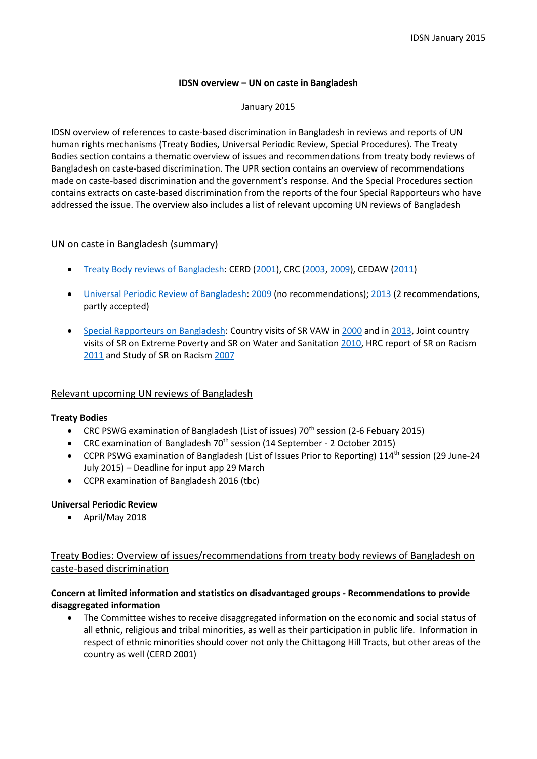### **IDSN overview – UN on caste in Bangladesh**

January 2015

IDSN overview of references to caste-based discrimination in Bangladesh in reviews and reports of UN human rights mechanisms (Treaty Bodies, Universal Periodic Review, Special Procedures). The Treaty Bodies section contains a thematic overview of issues and recommendations from treaty body reviews of Bangladesh on caste-based discrimination. The UPR section contains an overview of recommendations made on caste-based discrimination and the government's response. And the Special Procedures section contains extracts on caste-based discrimination from the reports of the four Special Rapporteurs who have addressed the issue. The overview also includes a list of relevant upcoming UN reviews of Bangladesh

## UN on caste in Bangladesh (summary)

- [Treaty Body reviews of Bangladesh:](http://idsn.org/index.php?id=366) CERD [\(2001\)](http://idsn.org/international-advocacy/un/un-treaty-bodies/bangladesh/#cerdbangladesh2001), CRC [\(2003,](http://idsn.org/international-advocacy/un/un-treaty-bodies/bangladesh/#crcbangladesh2003) [2009\)](http://idsn.org/international-advocacy/un/un-treaty-bodies/bangladesh/#crcbangladesh2009), CEDAW [\(2011\)](http://idsn.org/international-advocacy/un/un-treaty-bodies/bangladesh/#cedawbangladesh2011)
- [Universal Periodic Review of Bangladesh:](http://idsn.org/international-advocacy/un/universal-periodic-review/upr-bangladesh/) [2009](http://lib.ohchr.org/HRBodies/UPR/Documents/Session4/BD/A_HRC_11_18_BGD_E.pdf) (no recommendations)[; 2013](http://idsn.org/fileadmin/user_folder/pdf/New_files/UN/UPR/WG_report_UPR_Bangladesh_2013.pdf) (2 recommendations, partly accepted)
- [Special Rapporteurs](http://idsn.org/international-advocacy/un/special-procedures/country-visits/bangladesh/) on Bangladesh: Country visits of SR VAW in [2000](http://www.unhchr.ch/Huridocda/Huridoca.nsf/TestFrame/4cb26594f04a53a4c1256a1b0055e5df?Opendocument) and in [2013,](http://ap.ohchr.org/Documents/dpage_e.aspx?si=A/HRC/26/38/Add.2) Joint country visits of SR on Extreme Poverty and SR on Water and Sanitation [2010,](http://idsn.org/fileadmin/user_folder/pdf/New_files/Bangladesh/Bangladesh_UN_Independent_Experts_report.pdf) HRC report of SR on Racism [2011](http://www2.ohchr.org/english/bodies/hrcouncil/docs/17session/A-HRC-17-40.pdf) and Study of SR on Racism [2007](http://daccess-dds-ny.un.org/doc/UNDOC/GEN/G07/126/78/PDF/G0712678.pdf?OpenElement)

# Relevant upcoming UN reviews of Bangladesh

### **Treaty Bodies**

- CRC PSWG examination of Bangladesh (List of issues) 70<sup>th</sup> session (2-6 Febuary 2015)
- CRC examination of Bangladesh  $70<sup>th</sup>$  session (14 September 2 October 2015)
- CCPR PSWG examination of Bangladesh (List of Issues Prior to Reporting) 114<sup>th</sup> session (29 June-24 July 2015) – Deadline for input app 29 March
- CCPR examination of Bangladesh 2016 (tbc)

### **Universal Periodic Review**

April/May 2018

Treaty Bodies: Overview of issues/recommendations from treaty body reviews of Bangladesh on caste-based discrimination

## **Concern at limited information and statistics on disadvantaged groups - Recommendations to provide disaggregated information**

• The Committee wishes to receive disaggregated information on the economic and social status of all ethnic, religious and tribal minorities, as well as their participation in public life. Information in respect of ethnic minorities should cover not only the Chittagong Hill Tracts, but other areas of the country as well (CERD 2001)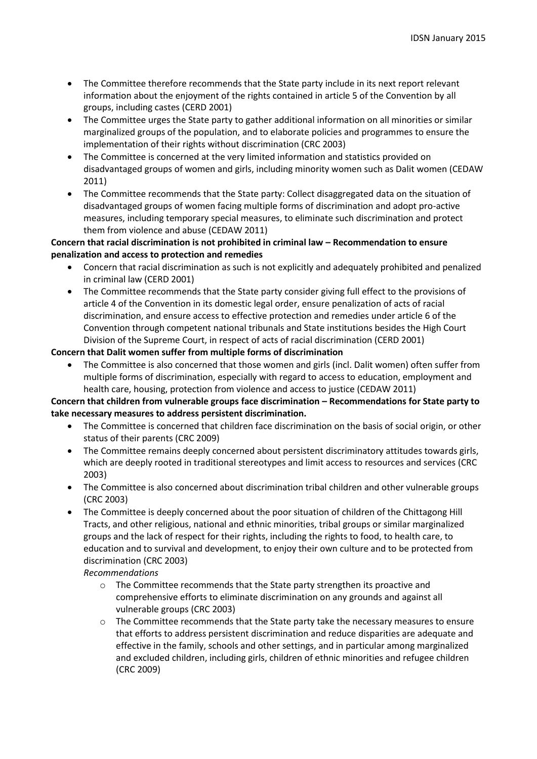- The Committee therefore recommends that the State party include in its next report relevant information about the enjoyment of the rights contained in article 5 of the Convention by all groups, including castes (CERD 2001)
- The Committee urges the State party to gather additional information on all minorities or similar marginalized groups of the population, and to elaborate policies and programmes to ensure the implementation of their rights without discrimination (CRC 2003)
- The Committee is concerned at the very limited information and statistics provided on disadvantaged groups of women and girls, including minority women such as Dalit women (CEDAW 2011)
- The Committee recommends that the State party: Collect disaggregated data on the situation of disadvantaged groups of women facing multiple forms of discrimination and adopt pro-active measures, including temporary special measures, to eliminate such discrimination and protect them from violence and abuse (CEDAW 2011)

## **Concern that racial discrimination is not prohibited in criminal law – Recommendation to ensure penalization and access to protection and remedies**

- Concern that racial discrimination as such is not explicitly and adequately prohibited and penalized in criminal law (CERD 2001)
- The Committee recommends that the State party consider giving full effect to the provisions of article 4 of the Convention in its domestic legal order, ensure penalization of acts of racial discrimination, and ensure access to effective protection and remedies under article 6 of the Convention through competent national tribunals and State institutions besides the High Court Division of the Supreme Court, in respect of acts of racial discrimination (CERD 2001)

# **Concern that Dalit women suffer from multiple forms of discrimination**

 The Committee is also concerned that those women and girls (incl. Dalit women) often suffer from multiple forms of discrimination, especially with regard to access to education, employment and health care, housing, protection from violence and access to justice (CEDAW 2011)

# **Concern that children from vulnerable groups face discrimination – Recommendations for State party to take necessary measures to address persistent discrimination.**

- The Committee is concerned that children face discrimination on the basis of social origin, or other status of their parents (CRC 2009)
- The Committee remains deeply concerned about persistent discriminatory attitudes towards girls, which are deeply rooted in traditional stereotypes and limit access to resources and services (CRC 2003)
- The Committee is also concerned about discrimination tribal children and other vulnerable groups (CRC 2003)
- The Committee is deeply concerned about the poor situation of children of the Chittagong Hill Tracts, and other religious, national and ethnic minorities, tribal groups or similar marginalized groups and the lack of respect for their rights, including the rights to food, to health care, to education and to survival and development, to enjoy their own culture and to be protected from discrimination (CRC 2003)

# *Recommendations*

- o The Committee recommends that the State party strengthen its proactive and comprehensive efforts to eliminate discrimination on any grounds and against all vulnerable groups (CRC 2003)
- $\circ$  The Committee recommends that the State party take the necessary measures to ensure that efforts to address persistent discrimination and reduce disparities are adequate and effective in the family, schools and other settings, and in particular among marginalized and excluded children, including girls, children of ethnic minorities and refugee children (CRC 2009)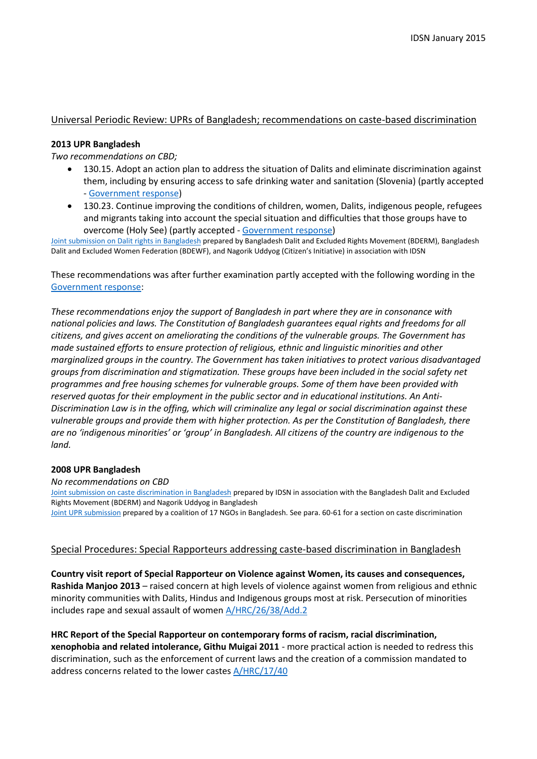## Universal Periodic Review: UPRs of Bangladesh; recommendations on caste-based discrimination

#### **2013 UPR Bangladesh**

*Two recommendations on CBD;*

- 130.15. Adopt an action plan to address the situation of Dalits and eliminate discrimination against them, including by ensuring access to safe drinking water and sanitation (Slovenia) (partly accepted - [Government response\)](http://idsn.org/fileadmin/user_folder/pdf/New_files/UN/UPR/Addendum_UPR_Bangladesh_2013.pdf)
- 130.23. Continue improving the conditions of children, women, Dalits, indigenous people, refugees and migrants taking into account the special situation and difficulties that those groups have to overcome (Holy See) (partly accepted - [Government response\)](http://idsn.org/fileadmin/user_folder/pdf/New_files/UN/UPR/Addendum_UPR_Bangladesh_2013.pdf)

[Joint submission on Dalit rights in Bangladesh](http://idsn.org/fileadmin/user_folder/pdf/New_files/Bangladesh/UPR-Bangladesh__Dalits_Situation_-_Web_Version.pdf) prepared by Bangladesh Dalit and Excluded Rights Movement (BDERM), Bangladesh Dalit and Excluded Women Federation (BDEWF), and Nagorik Uddyog (Citizen's Initiative) in association with IDSN

These recommendations was after further examination partly accepted with the following wording in the [Government response:](http://idsn.org/fileadmin/user_folder/pdf/New_files/UN/UPR/Addendum_UPR_Bangladesh_2013.pdf)

*These recommendations enjoy the support of Bangladesh in part where they are in consonance with national policies and laws. The Constitution of Bangladesh guarantees equal rights and freedoms for all citizens, and gives accent on ameliorating the conditions of the vulnerable groups. The Government has made sustained efforts to ensure protection of religious, ethnic and linguistic minorities and other marginalized groups in the country. The Government has taken initiatives to protect various disadvantaged groups from discrimination and stigmatization. These groups have been included in the social safety net programmes and free housing schemes for vulnerable groups. Some of them have been provided with reserved quotas for their employment in the public sector and in educational institutions. An Anti-Discrimination Law is in the offing, which will criminalize any legal or social discrimination against these vulnerable groups and provide them with higher protection. As per the Constitution of Bangladesh, there are no 'indigenous minorities' or 'group' in Bangladesh. All citizens of the country are indigenous to the land.*

### **2008 UPR Bangladesh**

*No recommendations on CBD*

[Joint submission on caste discrimination in Bangladesh](http://idsn.org/fileadmin/user_folder/pdf/Old_files/un/pdf/UPR_Bangladesh.pdf) prepared by IDSN in association with the Bangladesh Dalit and Excluded Rights Movement (BDERM) and Nagorik Uddyog in Bangladesh

[Joint UPR submission](http://idsn.org/fileadmin/user_folder/pdf/New_files/UN/Bangladesh_UPR_stakeholders.pdf) prepared by a coalition of 17 NGOs in Bangladesh. See para. 60-61 for a section on caste discrimination

### Special Procedures: Special Rapporteurs addressing caste-based discrimination in Bangladesh

**Country visit report of Special Rapporteur on Violence against Women, its causes and consequences, Rashida Manjoo 2013** – raised concern at high levels of violence against women from religious and ethnic minority communities with Dalits, Hindus and Indigenous groups most at risk. Persecution of minorities includes rape and sexual assault of women [A/HRC/26/38/Add.2](http://ap.ohchr.org/Documents/dpage_e.aspx?si=A/HRC/26/38/Add.2)

**HRC Report of the Special Rapporteur on contemporary forms of racism, racial discrimination, xenophobia and related intolerance, Githu Muigai 2011** - more practical action is needed to redress this discrimination, such as the enforcement of current laws and the creation of a commission mandated to address concerns related to the lower castes [A/HRC/17/40](http://www2.ohchr.org/english/bodies/hrcouncil/docs/17session/A-HRC-17-40.pdf)